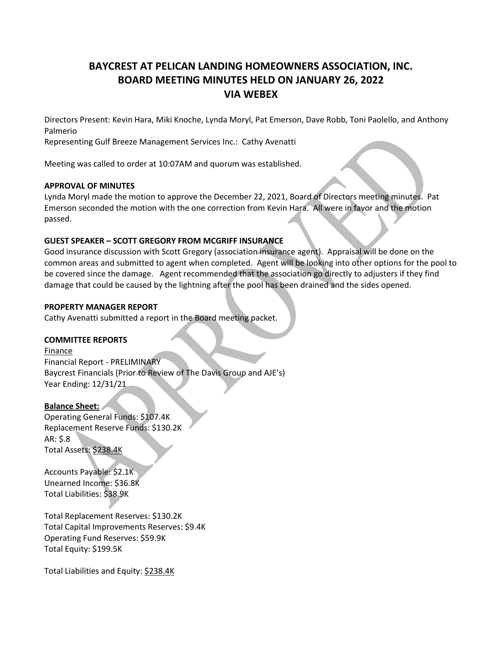# **BAYCREST AT PELICAN LANDING HOMEOWNERS ASSOCIATION, INC. BOARD MEETING MINUTES HELD ON JANUARY 26, 2022 VIA WEBEX**

Directors Present: Kevin Hara, Miki Knoche, Lynda Moryl, Pat Emerson, Dave Robb, Toni Paolello, and Anthony Palmerio

Representing Gulf Breeze Management Services Inc.: Cathy Avenatti

Meeting was called to order at 10:07AM and quorum was established.

### **APPROVAL OF MINUTES**

Lynda Moryl made the motion to approve the December 22, 2021, Board of Directors meeting minutes. Pat Emerson seconded the motion with the one correction from Kevin Hara. All were in favor and the motion passed.

# **GUEST SPEAKER – SCOTT GREGORY FROM MCGRIFF INSURANCE**

Good insurance discussion with Scott Gregory (association insurance agent). Appraisal will be done on the common areas and submitted to agent when completed. Agent will be looking into other options for the pool to be covered since the damage. Agent recommended that the association go directly to adjusters if they find damage that could be caused by the lightning after the pool has been drained and the sides opened.

### **PROPERTY MANAGER REPORT**

Cathy Avenatti submitted a report in the Board meeting packet.

# **COMMITTEE REPORTS**

Finance Financial Report - PRELIMINARY Baycrest Financials (Prior to Review of The Davis Group and AJE's) Year Ending: 12/31/21

# **Balance Sheet:**

Operating General Funds: \$107.4K Replacement Reserve Funds: \$130.2K AR: \$.8 Total Assets: \$238.4K

Accounts Payable: \$2.1K Unearned Income: \$36.8K Total Liabilities: \$38.9K

Total Replacement Reserves: \$130.2K Total Capital Improvements Reserves: \$9.4K Operating Fund Reserves: \$59.9K Total Equity: \$199.5K

Total Liabilities and Equity: \$238.4K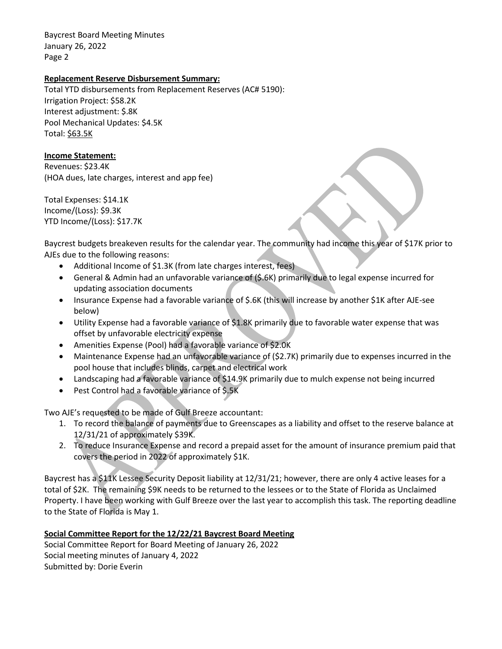# **Replacement Reserve Disbursement Summary:**

Total YTD disbursements from Replacement Reserves (AC# 5190): Irrigation Project: \$58.2K Interest adjustment: \$.8K Pool Mechanical Updates: \$4.5K Total: \$63.5K

### **Income Statement:**

Revenues: \$23.4K (HOA dues, late charges, interest and app fee)

Total Expenses: \$14.1K Income/(Loss): \$9.3K YTD Income/(Loss): \$17.7K

Baycrest budgets breakeven results for the calendar year. The community had income this year of \$17K prior to AJEs due to the following reasons:

- Additional Income of \$1.3K (from late charges interest, fees)
- General & Admin had an unfavorable variance of (\$.6K) primarily due to legal expense incurred for updating association documents
- Insurance Expense had a favorable variance of \$.6K (this will increase by another \$1K after AJE-see below)
- Utility Expense had a favorable variance of \$1.8K primarily due to favorable water expense that was offset by unfavorable electricity expense
- Amenities Expense (Pool) had a favorable variance of \$2.0K
- Maintenance Expense had an unfavorable variance of (\$2.7K) primarily due to expenses incurred in the pool house that includes blinds, carpet and electrical work
- Landscaping had a favorable variance of \$14.9K primarily due to mulch expense not being incurred
- Pest Control had a favorable variance of \$.5K

Two AJE's requested to be made of Gulf Breeze accountant:

- 1. To record the balance of payments due to Greenscapes as a liability and offset to the reserve balance at 12/31/21 of approximately \$39K.
- 2. To reduce Insurance Expense and record a prepaid asset for the amount of insurance premium paid that covers the period in 2022 of approximately \$1K.

Baycrest has a \$11K Lessee Security Deposit liability at 12/31/21; however, there are only 4 active leases for a total of \$2K. The remaining \$9K needs to be returned to the lessees or to the State of Florida as Unclaimed Property. I have been working with Gulf Breeze over the last year to accomplish this task. The reporting deadline to the State of Florida is May 1.

# **Social Committee Report for the 12/22/21 Baycrest Board Meeting**

Social Committee Report for Board Meeting of January 26, 2022 Social meeting minutes of January 4, 2022 Submitted by: Dorie Everin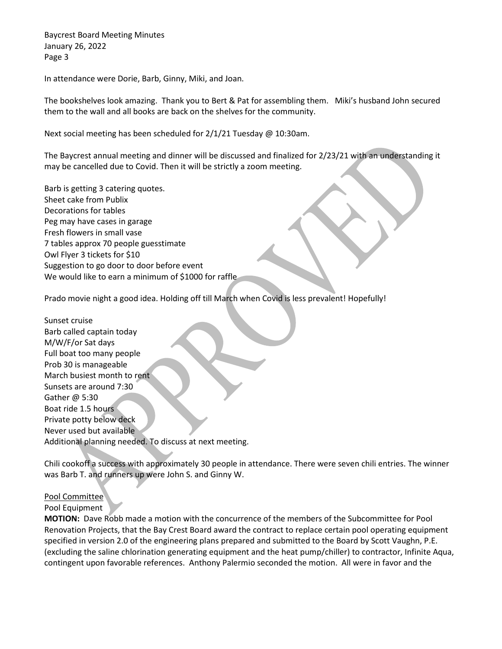In attendance were Dorie, Barb, Ginny, Miki, and Joan.

The bookshelves look amazing. Thank you to Bert & Pat for assembling them. Miki's husband John secured them to the wall and all books are back on the shelves for the community.

Next social meeting has been scheduled for 2/1/21 Tuesday @ 10:30am.

The Baycrest annual meeting and dinner will be discussed and finalized for 2/23/21 with an understanding it may be cancelled due to Covid. Then it will be strictly a zoom meeting.

Barb is getting 3 catering quotes. Sheet cake from Publix Decorations for tables Peg may have cases in garage Fresh flowers in small vase 7 tables approx 70 people guesstimate Owl Flyer 3 tickets for \$10 Suggestion to go door to door before event We would like to earn a minimum of \$1000 for raffle

Prado movie night a good idea. Holding off till March when Covid is less prevalent! Hopefully!

Sunset cruise Barb called captain today M/W/F/or Sat days Full boat too many people Prob 30 is manageable March busiest month to rent Sunsets are around 7:30 Gather @ 5:30 Boat ride 1.5 hours Private potty below deck Never used but available Additional planning needed. To discuss at next meeting.

Chili cookoff a success with approximately 30 people in attendance. There were seven chili entries. The winner was Barb T. and runners up were John S. and Ginny W.

#### Pool Committee

#### Pool Equipment

**MOTION:** Dave Robb made a motion with the concurrence of the members of the Subcommittee for Pool Renovation Projects, that the Bay Crest Board award the contract to replace certain pool operating equipment specified in version 2.0 of the engineering plans prepared and submitted to the Board by Scott Vaughn, P.E. (excluding the saline chlorination generating equipment and the heat pump/chiller) to contractor, Infinite Aqua, contingent upon favorable references. Anthony Palermio seconded the motion. All were in favor and the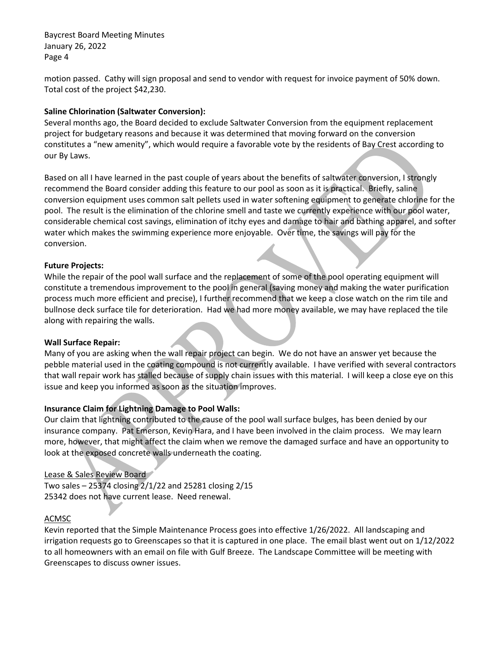motion passed. Cathy will sign proposal and send to vendor with request for invoice payment of 50% down. Total cost of the project \$42,230.

# **Saline Chlorination (Saltwater Conversion):**

Several months ago, the Board decided to exclude Saltwater Conversion from the equipment replacement project for budgetary reasons and because it was determined that moving forward on the conversion constitutes a "new amenity", which would require a favorable vote by the residents of Bay Crest according to our By Laws.

Based on all I have learned in the past couple of years about the benefits of saltwater conversion, I strongly recommend the Board consider adding this feature to our pool as soon as it is practical. Briefly, saline conversion equipment uses common salt pellets used in water softening equipment to generate chlorine for the pool. The result is the elimination of the chlorine smell and taste we currently experience with our pool water, considerable chemical cost savings, elimination of itchy eyes and damage to hair and bathing apparel, and softer water which makes the swimming experience more enjoyable. Over time, the savings will pay for the conversion.

# **Future Projects:**

While the repair of the pool wall surface and the replacement of some of the pool operating equipment will constitute a tremendous improvement to the pool in general (saving money and making the water purification process much more efficient and precise), I further recommend that we keep a close watch on the rim tile and bullnose deck surface tile for deterioration. Had we had more money available, we may have replaced the tile along with repairing the walls.

# **Wall Surface Repair:**

Many of you are asking when the wall repair project can begin. We do not have an answer yet because the pebble material used in the coating compound is not currently available. I have verified with several contractors that wall repair work has stalled because of supply chain issues with this material. I will keep a close eye on this issue and keep you informed as soon as the situation improves.

# **Insurance Claim for Lightning Damage to Pool Walls:**

Our claim that lightning contributed to the cause of the pool wall surface bulges, has been denied by our insurance company. Pat Emerson, Kevin Hara, and I have been involved in the claim process. We may learn more, however, that might affect the claim when we remove the damaged surface and have an opportunity to look at the exposed concrete walls underneath the coating.

# Lease & Sales Review Board

Two sales – 25374 closing 2/1/22 and 25281 closing 2/15 25342 does not have current lease. Need renewal.

# **ACMSC**

Kevin reported that the Simple Maintenance Process goes into effective 1/26/2022. All landscaping and irrigation requests go to Greenscapes so that it is captured in one place. The email blast went out on 1/12/2022 to all homeowners with an email on file with Gulf Breeze. The Landscape Committee will be meeting with Greenscapes to discuss owner issues.